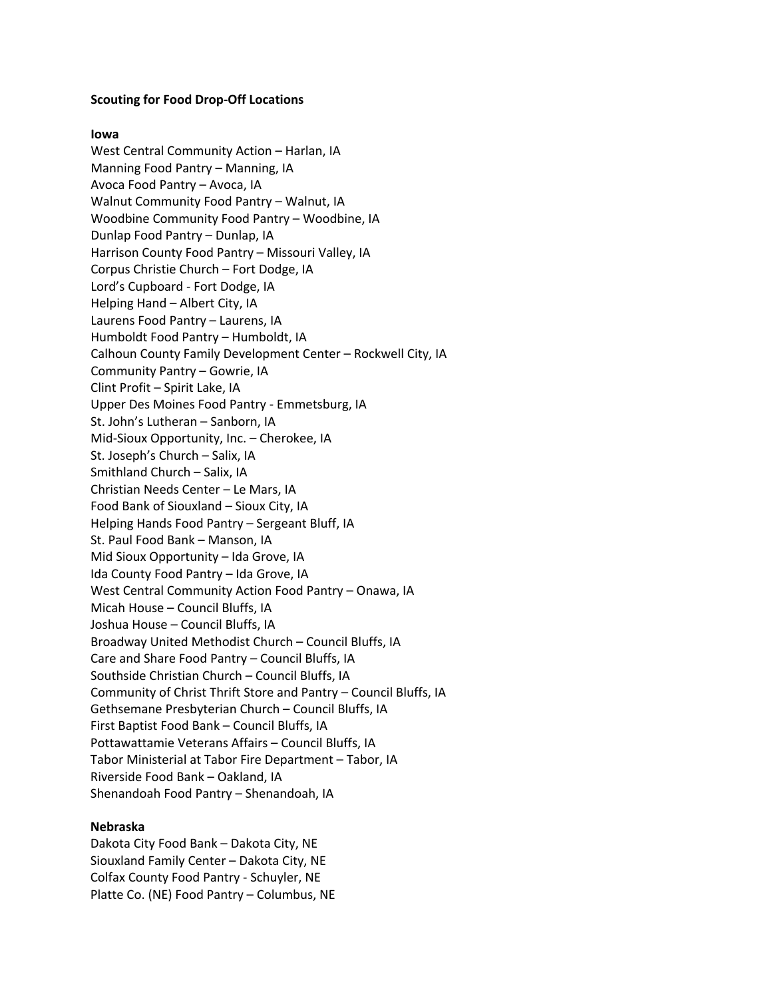## **Scouting for Food Drop-Off Locations**

## **Iowa**

West Central Community Action – Harlan, IA Manning Food Pantry – Manning, IA Avoca Food Pantry – Avoca, IA Walnut Community Food Pantry – Walnut, IA Woodbine Community Food Pantry – Woodbine, IA Dunlap Food Pantry – Dunlap, IA Harrison County Food Pantry – Missouri Valley, IA Corpus Christie Church – Fort Dodge, IA Lord's Cupboard - Fort Dodge, IA Helping Hand – Albert City, IA Laurens Food Pantry – Laurens, IA Humboldt Food Pantry – Humboldt, IA Calhoun County Family Development Center – Rockwell City, IA Community Pantry – Gowrie, IA Clint Profit – Spirit Lake, IA Upper Des Moines Food Pantry - Emmetsburg, IA St. John's Lutheran – Sanborn, IA Mid-Sioux Opportunity, Inc. – Cherokee, IA St. Joseph's Church – Salix, IA Smithland Church – Salix, IA Christian Needs Center – Le Mars, IA Food Bank of Siouxland – Sioux City, IA Helping Hands Food Pantry – Sergeant Bluff, IA St. Paul Food Bank – Manson, IA Mid Sioux Opportunity – Ida Grove, IA Ida County Food Pantry – Ida Grove, IA West Central Community Action Food Pantry – Onawa, IA Micah House – Council Bluffs, IA Joshua House – Council Bluffs, IA Broadway United Methodist Church – Council Bluffs, IA Care and Share Food Pantry – Council Bluffs, IA Southside Christian Church – Council Bluffs, IA Community of Christ Thrift Store and Pantry – Council Bluffs, IA Gethsemane Presbyterian Church – Council Bluffs, IA First Baptist Food Bank – Council Bluffs, IA Pottawattamie Veterans Affairs – Council Bluffs, IA Tabor Ministerial at Tabor Fire Department – Tabor, IA Riverside Food Bank – Oakland, IA Shenandoah Food Pantry – Shenandoah, IA

## **Nebraska**

Dakota City Food Bank – Dakota City, NE Siouxland Family Center – Dakota City, NE Colfax County Food Pantry - Schuyler, NE Platte Co. (NE) Food Pantry – Columbus, NE